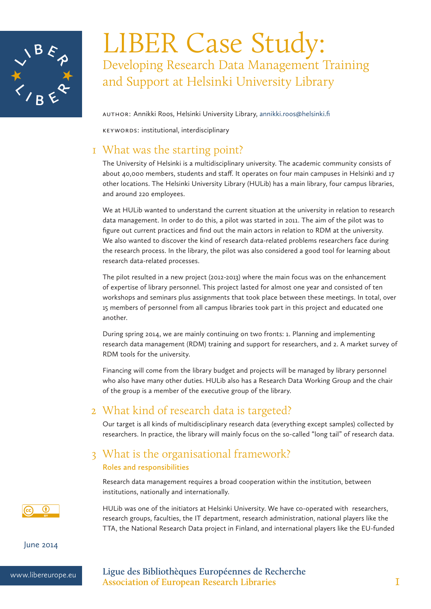

# LIBER Case Study: Developing Research Data Management Training and Support at Helsinki University Library

Author: Annikki Roos, Helsinki University Library, annikki.roos@helsinki.fi

Keywords: institutional, interdisciplinary

### 1 What was the starting point?

The University of Helsinki is a multidisciplinary university. The academic community consists of about 40,000 members, students and staff. It operates on four main campuses in Helsinki and 17 other locations. The Helsinki University Library (HULib) has a main library, four campus libraries, and around 220 employees.

We at HULib wanted to understand the current situation at the university in relation to research data management. In order to do this, a pilot was started in 2011. The aim of the pilot was to figure out current practices and find out the main actors in relation to RDM at the university. We also wanted to discover the kind of research data-related problems researchers face during the research process. In the library, the pilot was also considered a good tool for learning about research data-related processes.

The pilot resulted in a new project (2012-2013) where the main focus was on the enhancement of expertise of library personnel. This project lasted for almost one year and consisted of ten workshops and seminars plus assignments that took place between these meetings. In total, over 15 members of personnel from all campus libraries took part in this project and educated one another.

During spring 2014, we are mainly continuing on two fronts: 1. Planning and implementing research data management (RDM) training and support for researchers, and 2. A market survey of RDM tools for the university.

Financing will come from the library budget and projects will be managed by library personnel who also have many other duties. HULib also has a Research Data Working Group and the chair of the group is a member of the executive group of the library.

## 2 What kind of research data is targeted?

Our target is all kinds of multidisciplinary research data (everything except samples) collected by researchers. In practice, the library will mainly focus on the so-called "long tail" of research data.

#### 3 What is the organisational framework? **Roles and responsibilities**

Research data management requires a broad cooperation within the institution, between institutions, nationally and internationally.

Œ

HULib was one of the initiators at Helsinki University. We have co-operated with researchers, research groups, faculties, the IT department, research administration, national players like the TTA, the National Research Data project in Finland, and international players like the EU-funded

June 2014

www.libereurope.eu **Ligue des Bibliothèques Européennes de Recherche Association of European Research Libraries** 1